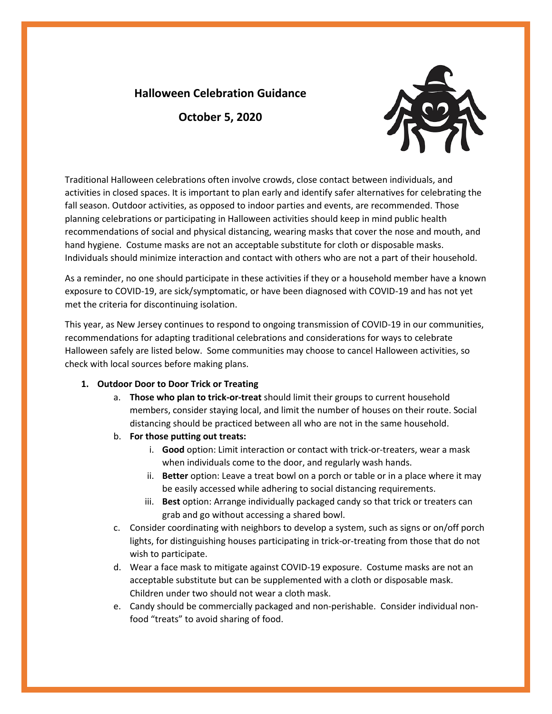## **Halloween Celebration Guidance**

**October 5, 2020**



Traditional Halloween celebrations often involve crowds, close contact between individuals, and activities in closed spaces. It is important to plan early and identify safer alternatives for celebrating the fall season. Outdoor activities, as opposed to indoor parties and events, are recommended. Those planning celebrations or participating in Halloween activities should keep in mind public health recommendations of social and physical distancing, wearing masks that cover the nose and mouth, and hand hygiene. Costume masks are not an acceptable substitute for cloth or disposable masks. Individuals should minimize interaction and contact with others who are not a part of their household.

As a reminder, no one should participate in these activities if they or a household member have a known exposure to COVID-19, are sick/symptomatic, or have been diagnosed with COVID-19 and has not yet met the criteria for discontinuing isolation.

This year, as New Jersey continues to respond to ongoing transmission of COVID-19 in our communities, recommendations for adapting traditional celebrations and considerations for ways to celebrate Halloween safely are listed below. Some communities may choose to cancel Halloween activities, so check with local sources before making plans.

## **1. Outdoor Door to Door Trick or Treating**

- a. **Those who plan to trick-or-treat** should limit their groups to current household members, consider staying local, and limit the number of houses on their route. Social distancing should be practiced between all who are not in the same household.
- b. **For those putting out treats:**
	- i. **Good** option: Limit interaction or contact with trick-or-treaters, wear a mask when individuals come to the door, and regularly wash hands.
	- ii. **Better** option: Leave a treat bowl on a porch or table or in a place where it may be easily accessed while adhering to social distancing requirements.
	- iii. **Best** option: Arrange individually packaged candy so that trick or treaters can grab and go without accessing a shared bowl.
- c. Consider coordinating with neighbors to develop a system, such as signs or on/off porch lights, for distinguishing houses participating in trick-or-treating from those that do not wish to participate.
- d. Wear a face mask to mitigate against COVID-19 exposure. Costume masks are not an acceptable substitute but can be supplemented with a cloth or disposable mask. Children under two should not wear a cloth mask.
- e. Candy should be commercially packaged and non-perishable. Consider individual nonfood "treats" to avoid sharing of food.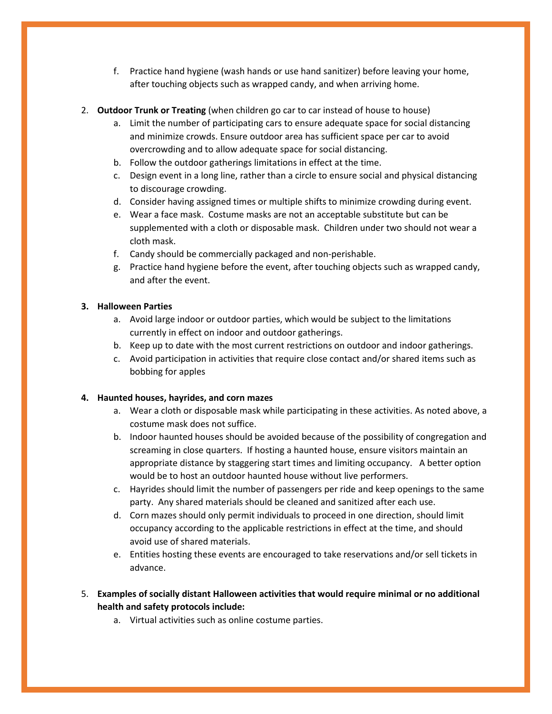- f. Practice hand hygiene (wash hands or use hand sanitizer) before leaving your home, after touching objects such as wrapped candy, and when arriving home.
- 2. **Outdoor Trunk or Treating** (when children go car to car instead of house to house)
	- a. Limit the number of participating cars to ensure adequate space for social distancing and minimize crowds. Ensure outdoor area has sufficient space per car to avoid overcrowding and to allow adequate space for social distancing.
	- b. Follow the outdoor gatherings limitations in effect at the time.
	- c. Design event in a long line, rather than a circle to ensure social and physical distancing to discourage crowding.
	- d. Consider having assigned times or multiple shifts to minimize crowding during event.
	- e. Wear a face mask. Costume masks are not an acceptable substitute but can be supplemented with a cloth or disposable mask. Children under two should not wear a cloth mask.
	- f. Candy should be commercially packaged and non-perishable.
	- g. Practice hand hygiene before the event, after touching objects such as wrapped candy, and after the event.

## **3. Halloween Parties**

- a. Avoid large indoor or outdoor parties, which would be subject to the limitations currently in effect on indoor and outdoor gatherings.
- b. Keep up to date with the most current restrictions on outdoor and indoor gatherings.
- c. Avoid participation in activities that require close contact and/or shared items such as bobbing for apples

## **4. Haunted houses, hayrides, and corn mazes**

- a. Wear a cloth or disposable mask while participating in these activities. As noted above, a costume mask does not suffice.
- b. Indoor haunted houses should be avoided because of the possibility of congregation and screaming in close quarters. If hosting a haunted house, ensure visitors maintain an appropriate distance by staggering start times and limiting occupancy. A better option would be to host an outdoor haunted house without live performers.
- c. Hayrides should limit the number of passengers per ride and keep openings to the same party. Any shared materials should be cleaned and sanitized after each use.
- d. Corn mazes should only permit individuals to proceed in one direction, should limit occupancy according to the applicable restrictions in effect at the time, and should avoid use of shared materials.
- e. Entities hosting these events are encouraged to take reservations and/or sell tickets in advance.
- 5. **Examples of socially distant Halloween activities that would require minimal or no additional health and safety protocols include:**
	- a. Virtual activities such as online costume parties.